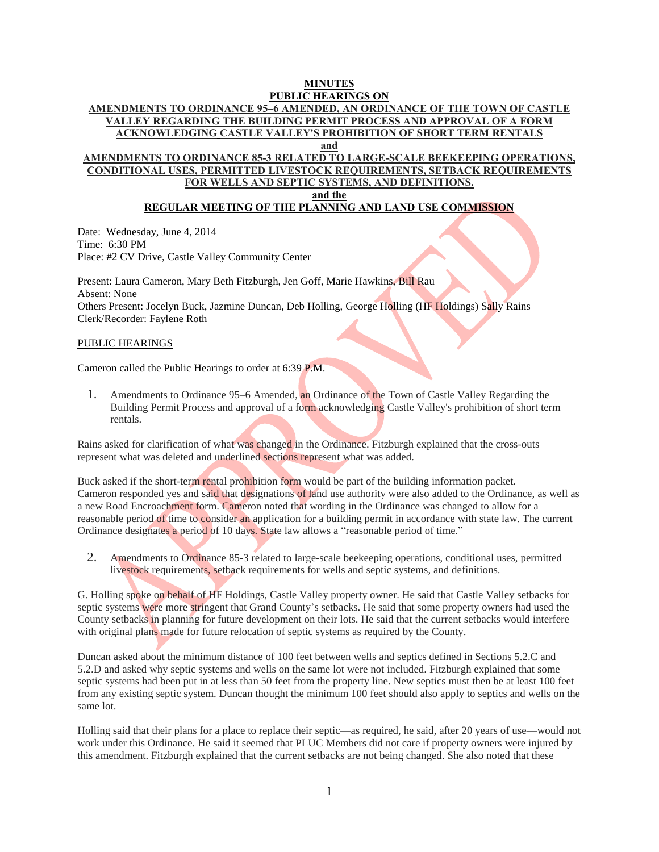# **MINUTES**

### **PUBLIC HEARINGS ON AMENDMENTS TO ORDINANCE 95–6 AMENDED, AN ORDINANCE OF THE TOWN OF CASTLE VALLEY REGARDING THE BUILDING PERMIT PROCESS AND APPROVAL OF A FORM ACKNOWLEDGING CASTLE VALLEY'S PROHIBITION OF SHORT TERM RENTALS and**

## **AMENDMENTS TO ORDINANCE 85-3 RELATED TO LARGE-SCALE BEEKEEPING OPERATIONS, CONDITIONAL USES, PERMITTED LIVESTOCK REQUIREMENTS, SETBACK REQUIREMENTS FOR WELLS AND SEPTIC SYSTEMS, AND DEFINITIONS.**

**and the**

## **REGULAR MEETING OF THE PLANNING AND LAND USE COMMISSION**

Date: Wednesday, June 4, 2014 Time: 6:30 PM Place: #2 CV Drive, Castle Valley Community Center

Present: Laura Cameron, Mary Beth Fitzburgh, Jen Goff, Marie Hawkins, Bill Rau Absent: None Others Present: Jocelyn Buck, Jazmine Duncan, Deb Holling, George Holling (HF Holdings) Sally Rains Clerk/Recorder: Faylene Roth

### PUBLIC HEARINGS

Cameron called the Public Hearings to order at 6:39 P.M.

1. Amendments to Ordinance 95–6 Amended, an Ordinance of the Town of Castle Valley Regarding the Building Permit Process and approval of a form acknowledging Castle Valley's prohibition of short term rentals.

Rains asked for clarification of what was changed in the Ordinance. Fitzburgh explained that the cross-outs represent what was deleted and underlined sections represent what was added.

Buck asked if the short-term rental prohibition form would be part of the building information packet. Cameron responded yes and said that designations of land use authority were also added to the Ordinance, as well as a new Road Encroachment form. Cameron noted that wording in the Ordinance was changed to allow for a reasonable period of time to consider an application for a building permit in accordance with state law. The current Ordinance designates a period of 10 days. State law allows a "reasonable period of time."

2. Amendments to Ordinance 85-3 related to large-scale beekeeping operations, conditional uses, permitted livestock requirements, setback requirements for wells and septic systems, and definitions.

G. Holling spoke on behalf of HF Holdings, Castle Valley property owner. He said that Castle Valley setbacks for septic systems were more stringent that Grand County's setbacks. He said that some property owners had used the County setbacks in planning for future development on their lots. He said that the current setbacks would interfere with original plans made for future relocation of septic systems as required by the County.

Duncan asked about the minimum distance of 100 feet between wells and septics defined in Sections 5.2.C and 5.2.D and asked why septic systems and wells on the same lot were not included. Fitzburgh explained that some septic systems had been put in at less than 50 feet from the property line. New septics must then be at least 100 feet from any existing septic system. Duncan thought the minimum 100 feet should also apply to septics and wells on the same lot.

Holling said that their plans for a place to replace their septic—as required, he said, after 20 years of use—would not work under this Ordinance. He said it seemed that PLUC Members did not care if property owners were injured by this amendment. Fitzburgh explained that the current setbacks are not being changed. She also noted that these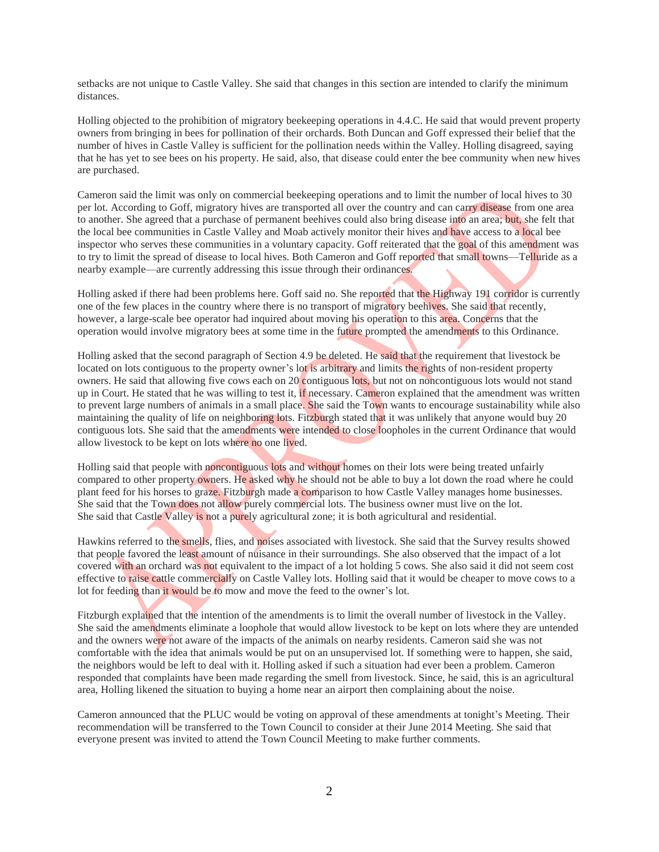setbacks are not unique to Castle Valley. She said that changes in this section are intended to clarify the minimum distances.

Holling objected to the prohibition of migratory beekeeping operations in 4.4.C. He said that would prevent property owners from bringing in bees for pollination of their orchards. Both Duncan and Goff expressed their belief that the number of hives in Castle Valley is sufficient for the pollination needs within the Valley. Holling disagreed, saying that he has yet to see bees on his property. He said, also, that disease could enter the bee community when new hives are purchased.

Cameron said the limit was only on commercial beekeeping operations and to limit the number of local hives to 30 per lot. According to Goff, migratory hives are transported all over the country and can carry disease from one area to another. She agreed that a purchase of permanent beehives could also bring disease into an area; but, she felt that the local bee communities in Castle Valley and Moab actively monitor their hives and have access to a local bee inspector who serves these communities in a voluntary capacity. Goff reiterated that the goal of this amendment was to try to limit the spread of disease to local hives. Both Cameron and Goff reported that small towns—Telluride as a nearby example—are currently addressing this issue through their ordinances.

Holling asked if there had been problems here. Goff said no. She reported that the Highway 191 corridor is currently one of the few places in the country where there is no transport of migratory beehives. She said that recently, however, a large-scale bee operator had inquired about moving his operation to this area. Concerns that the operation would involve migratory bees at some time in the future prompted the amendments to this Ordinance.

Holling asked that the second paragraph of Section 4.9 be deleted. He said that the requirement that livestock be located on lots contiguous to the property owner's lot is arbitrary and limits the rights of non-resident property owners. He said that allowing five cows each on 20 contiguous lots, but not on noncontiguous lots would not stand up in Court. He stated that he was willing to test it, if necessary. Cameron explained that the amendment was written to prevent large numbers of animals in a small place. She said the Town wants to encourage sustainability while also maintaining the quality of life on neighboring lots. Fitzburgh stated that it was unlikely that anyone would buy 20 contiguous lots. She said that the amendments were intended to close loopholes in the current Ordinance that would allow livestock to be kept on lots where no one lived.

Holling said that people with noncontiguous lots and without homes on their lots were being treated unfairly compared to other property owners. He asked why he should not be able to buy a lot down the road where he could plant feed for his horses to graze. Fitzburgh made a comparison to how Castle Valley manages home businesses. She said that the Town does not allow purely commercial lots. The business owner must live on the lot. She said that Castle Valley is not a purely agricultural zone; it is both agricultural and residential.

Hawkins referred to the smells, flies, and noises associated with livestock. She said that the Survey results showed that people favored the least amount of nuisance in their surroundings. She also observed that the impact of a lot covered with an orchard was not equivalent to the impact of a lot holding 5 cows. She also said it did not seem cost effective to raise cattle commercially on Castle Valley lots. Holling said that it would be cheaper to move cows to a lot for feeding than it would be to mow and move the feed to the owner's lot.

Fitzburgh explained that the intention of the amendments is to limit the overall number of livestock in the Valley. She said the amendments eliminate a loophole that would allow livestock to be kept on lots where they are untended and the owners were not aware of the impacts of the animals on nearby residents. Cameron said she was not comfortable with the idea that animals would be put on an unsupervised lot. If something were to happen, she said, the neighbors would be left to deal with it. Holling asked if such a situation had ever been a problem. Cameron responded that complaints have been made regarding the smell from livestock. Since, he said, this is an agricultural area, Holling likened the situation to buying a home near an airport then complaining about the noise.

Cameron announced that the PLUC would be voting on approval of these amendments at tonight's Meeting. Their recommendation will be transferred to the Town Council to consider at their June 2014 Meeting. She said that everyone present was invited to attend the Town Council Meeting to make further comments.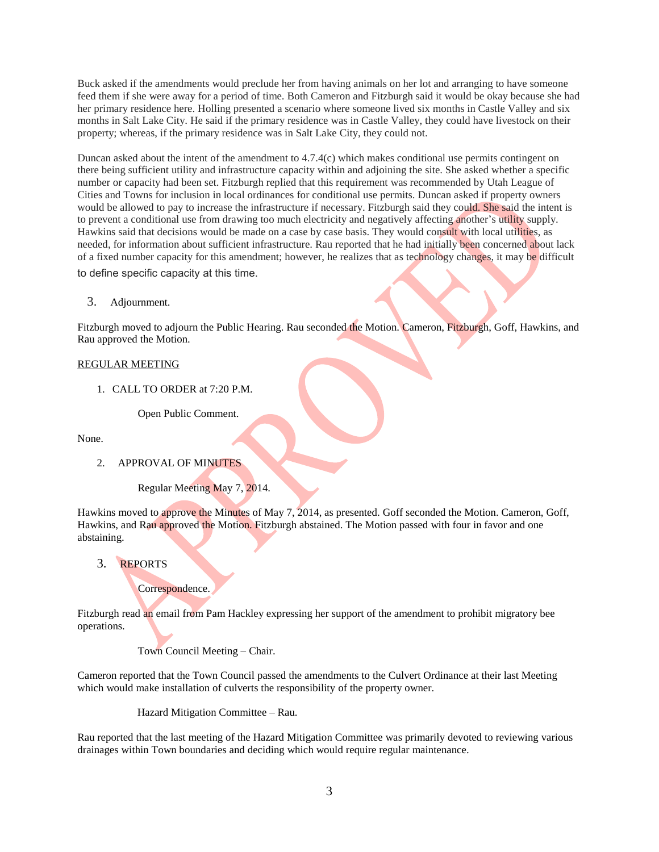Buck asked if the amendments would preclude her from having animals on her lot and arranging to have someone feed them if she were away for a period of time. Both Cameron and Fitzburgh said it would be okay because she had her primary residence here. Holling presented a scenario where someone lived six months in Castle Valley and six months in Salt Lake City. He said if the primary residence was in Castle Valley, they could have livestock on their property; whereas, if the primary residence was in Salt Lake City, they could not.

Duncan asked about the intent of the amendment to 4.7.4(c) which makes conditional use permits contingent on there being sufficient utility and infrastructure capacity within and adjoining the site. She asked whether a specific number or capacity had been set. Fitzburgh replied that this requirement was recommended by Utah League of Cities and Towns for inclusion in local ordinances for conditional use permits. Duncan asked if property owners would be allowed to pay to increase the infrastructure if necessary. Fitzburgh said they could. She said the intent is to prevent a conditional use from drawing too much electricity and negatively affecting another's utility supply. Hawkins said that decisions would be made on a case by case basis. They would consult with local utilities, as needed, for information about sufficient infrastructure. Rau reported that he had initially been concerned about lack of a fixed number capacity for this amendment; however, he realizes that as technology changes, it may be difficult to define specific capacity at this time.

3. Adjournment.

Fitzburgh moved to adjourn the Public Hearing. Rau seconded the Motion. Cameron, Fitzburgh, Goff, Hawkins, and Rau approved the Motion.

#### REGULAR MEETING

1. CALL TO ORDER at 7:20 P.M.

Open Public Comment.

None.

#### 2. APPROVAL OF MINUTES

Regular Meeting May 7, 2014.

Hawkins moved to approve the Minutes of May 7, 2014, as presented. Goff seconded the Motion. Cameron, Goff, Hawkins, and Rau approved the Motion. Fitzburgh abstained. The Motion passed with four in favor and one abstaining.

### 3. REPORTS

#### Correspondence.

Fitzburgh read an email from Pam Hackley expressing her support of the amendment to prohibit migratory bee operations.

Town Council Meeting – Chair.

Cameron reported that the Town Council passed the amendments to the Culvert Ordinance at their last Meeting which would make installation of culverts the responsibility of the property owner.

Hazard Mitigation Committee – Rau.

Rau reported that the last meeting of the Hazard Mitigation Committee was primarily devoted to reviewing various drainages within Town boundaries and deciding which would require regular maintenance.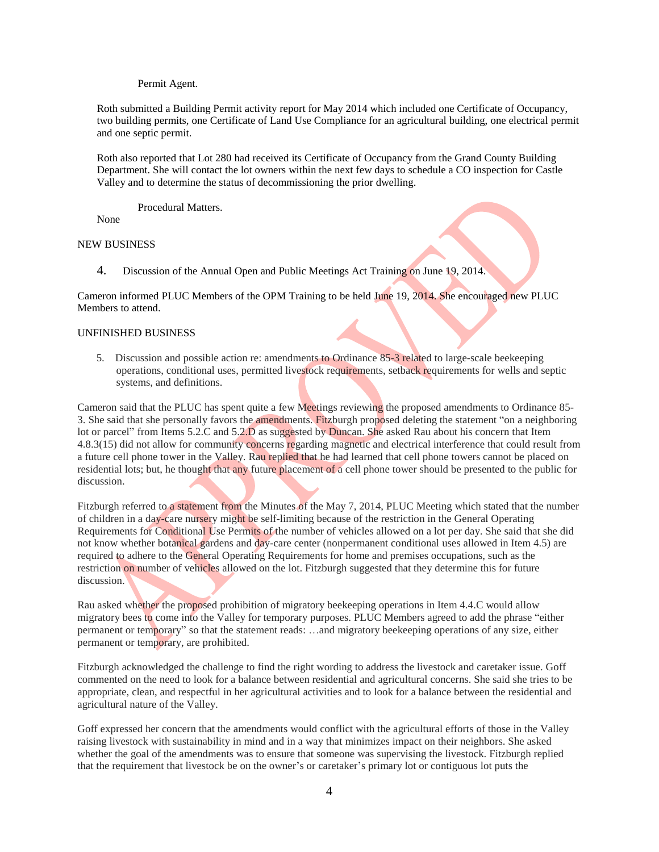#### Permit Agent.

Roth submitted a Building Permit activity report for May 2014 which included one Certificate of Occupancy, two building permits, one Certificate of Land Use Compliance for an agricultural building, one electrical permit and one septic permit.

Roth also reported that Lot 280 had received its Certificate of Occupancy from the Grand County Building Department. She will contact the lot owners within the next few days to schedule a CO inspection for Castle Valley and to determine the status of decommissioning the prior dwelling.

Procedural Matters.

None

### NEW BUSINESS

4. Discussion of the Annual Open and Public Meetings Act Training on June 19, 2014.

Cameron informed PLUC Members of the OPM Training to be held June 19, 2014. She encouraged new PLUC Members to attend.

#### UNFINISHED BUSINESS

 5. Discussion and possible action re: amendments to Ordinance 85-3 related to large-scale beekeeping operations, conditional uses, permitted livestock requirements, setback requirements for wells and septic systems, and definitions.

Cameron said that the PLUC has spent quite a few Meetings reviewing the proposed amendments to Ordinance 85- 3. She said that she personally favors the amendments. Fitzburgh proposed deleting the statement "on a neighboring lot or parcel" from Items 5.2.C and 5.2.D as suggested by Duncan. She asked Rau about his concern that Item 4.8.3(15) did not allow for community concerns regarding magnetic and electrical interference that could result from a future cell phone tower in the Valley. Rau replied that he had learned that cell phone towers cannot be placed on residential lots; but, he thought that any future placement of a cell phone tower should be presented to the public for discussion.

Fitzburgh referred to a statement from the Minutes of the May 7, 2014, PLUC Meeting which stated that the number of children in a day-care nursery might be self-limiting because of the restriction in the General Operating Requirements for Conditional Use Permits of the number of vehicles allowed on a lot per day. She said that she did not know whether botanical gardens and day-care center (nonpermanent conditional uses allowed in Item 4.5) are required to adhere to the General Operating Requirements for home and premises occupations, such as the restriction on number of vehicles allowed on the lot. Fitzburgh suggested that they determine this for future discussion.

Rau asked whether the proposed prohibition of migratory beekeeping operations in Item 4.4.C would allow migratory bees to come into the Valley for temporary purposes. PLUC Members agreed to add the phrase "either permanent or temporary" so that the statement reads: …and migratory beekeeping operations of any size, either permanent or temporary, are prohibited.

Fitzburgh acknowledged the challenge to find the right wording to address the livestock and caretaker issue. Goff commented on the need to look for a balance between residential and agricultural concerns. She said she tries to be appropriate, clean, and respectful in her agricultural activities and to look for a balance between the residential and agricultural nature of the Valley.

Goff expressed her concern that the amendments would conflict with the agricultural efforts of those in the Valley raising livestock with sustainability in mind and in a way that minimizes impact on their neighbors. She asked whether the goal of the amendments was to ensure that someone was supervising the livestock. Fitzburgh replied that the requirement that livestock be on the owner's or caretaker's primary lot or contiguous lot puts the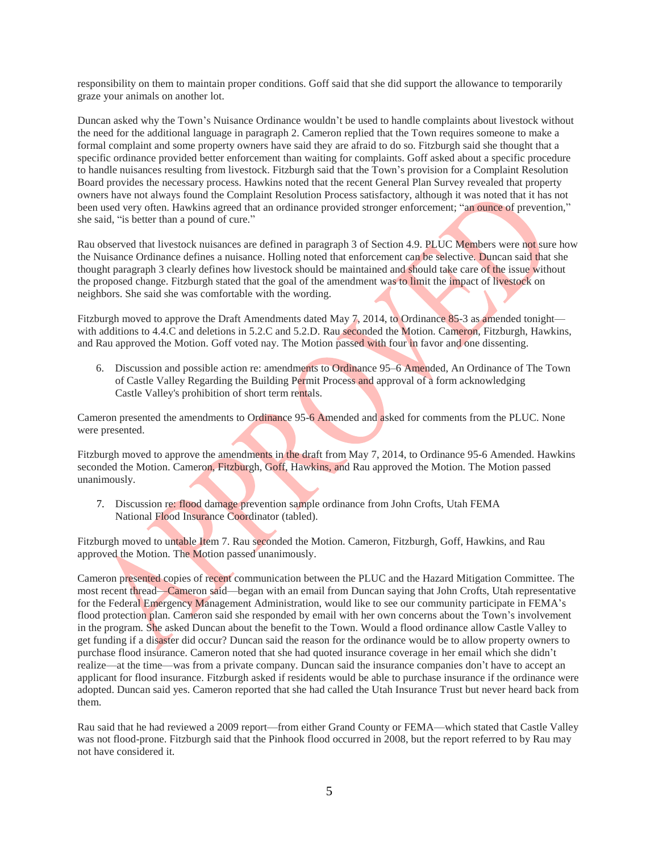responsibility on them to maintain proper conditions. Goff said that she did support the allowance to temporarily graze your animals on another lot.

Duncan asked why the Town's Nuisance Ordinance wouldn't be used to handle complaints about livestock without the need for the additional language in paragraph 2. Cameron replied that the Town requires someone to make a formal complaint and some property owners have said they are afraid to do so. Fitzburgh said she thought that a specific ordinance provided better enforcement than waiting for complaints. Goff asked about a specific procedure to handle nuisances resulting from livestock. Fitzburgh said that the Town's provision for a Complaint Resolution Board provides the necessary process. Hawkins noted that the recent General Plan Survey revealed that property owners have not always found the Complaint Resolution Process satisfactory, although it was noted that it has not been used very often. Hawkins agreed that an ordinance provided stronger enforcement; "an ounce of prevention," she said, "is better than a pound of cure."

Rau observed that livestock nuisances are defined in paragraph 3 of Section 4.9. PLUC Members were not sure how the Nuisance Ordinance defines a nuisance. Holling noted that enforcement can be selective. Duncan said that she thought paragraph 3 clearly defines how livestock should be maintained and should take care of the issue without the proposed change. Fitzburgh stated that the goal of the amendment was to limit the impact of livestock on neighbors. She said she was comfortable with the wording.

Fitzburgh moved to approve the Draft Amendments dated May 7, 2014, to Ordinance 85-3 as amended tonight with additions to 4.4.C and deletions in 5.2.C and 5.2.D. Rau seconded the Motion. Cameron, Fitzburgh, Hawkins, and Rau approved the Motion. Goff voted nay. The Motion passed with four in favor and one dissenting.

6. Discussion and possible action re: amendments to Ordinance 95–6 Amended, An Ordinance of The Town of Castle Valley Regarding the Building Permit Process and approval of a form acknowledging Castle Valley's prohibition of short term rentals.

Cameron presented the amendments to Ordinance 95-6 Amended and asked for comments from the PLUC. None were presented.

Fitzburgh moved to approve the amendments in the draft from May 7, 2014, to Ordinance 95-6 Amended. Hawkins seconded the Motion. Cameron, Fitzburgh, Goff, Hawkins, and Rau approved the Motion. The Motion passed unanimously.

 7. Discussion re: flood damage prevention sample ordinance from John Crofts, Utah FEMA National Flood Insurance Coordinator (tabled).

Fitzburgh moved to untable Item 7. Rau seconded the Motion. Cameron, Fitzburgh, Goff, Hawkins, and Rau approved the Motion. The Motion passed unanimously.

Cameron presented copies of recent communication between the PLUC and the Hazard Mitigation Committee. The most recent thread—Cameron said—began with an email from Duncan saying that John Crofts, Utah representative for the Federal Emergency Management Administration, would like to see our community participate in FEMA's flood protection plan. Cameron said she responded by email with her own concerns about the Town's involvement in the program. She asked Duncan about the benefit to the Town. Would a flood ordinance allow Castle Valley to get funding if a disaster did occur? Duncan said the reason for the ordinance would be to allow property owners to purchase flood insurance. Cameron noted that she had quoted insurance coverage in her email which she didn't realize—at the time—was from a private company. Duncan said the insurance companies don't have to accept an applicant for flood insurance. Fitzburgh asked if residents would be able to purchase insurance if the ordinance were adopted. Duncan said yes. Cameron reported that she had called the Utah Insurance Trust but never heard back from them.

Rau said that he had reviewed a 2009 report—from either Grand County or FEMA—which stated that Castle Valley was not flood-prone. Fitzburgh said that the Pinhook flood occurred in 2008, but the report referred to by Rau may not have considered it.